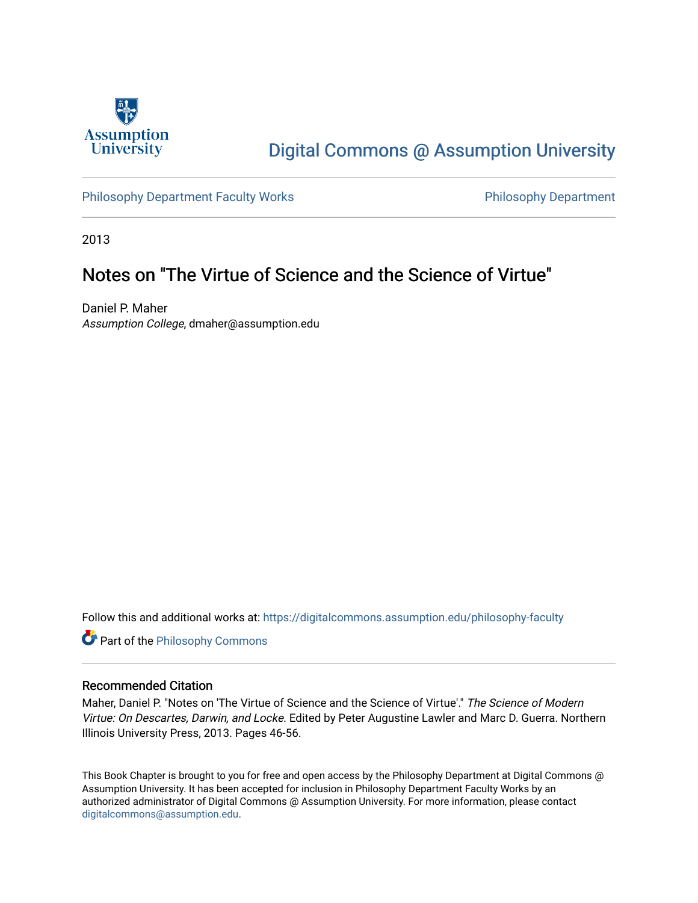

# [Digital Commons @ Assumption University](https://digitalcommons.assumption.edu/)

[Philosophy Department Faculty Works](https://digitalcommons.assumption.edu/philosophy-faculty) **Philosophy Department** 

2013

### Notes on "The Virtue of Science and the Science of Virtue"

Daniel P. Maher Assumption College, dmaher@assumption.edu

Follow this and additional works at: [https://digitalcommons.assumption.edu/philosophy-faculty](https://digitalcommons.assumption.edu/philosophy-faculty?utm_source=digitalcommons.assumption.edu%2Fphilosophy-faculty%2F33&utm_medium=PDF&utm_campaign=PDFCoverPages) 

**Part of the Philosophy Commons** 

### Recommended Citation

Maher, Daniel P. "Notes on 'The Virtue of Science and the Science of Virtue'." The Science of Modern Virtue: On Descartes, Darwin, and Locke. Edited by Peter Augustine Lawler and Marc D. Guerra. Northern Illinois University Press, 2013. Pages 46-56.

This Book Chapter is brought to you for free and open access by the Philosophy Department at Digital Commons @ Assumption University. It has been accepted for inclusion in Philosophy Department Faculty Works by an authorized administrator of Digital Commons @ Assumption University. For more information, please contact [digitalcommons@assumption.edu](mailto:digitalcommons@assumption.edu).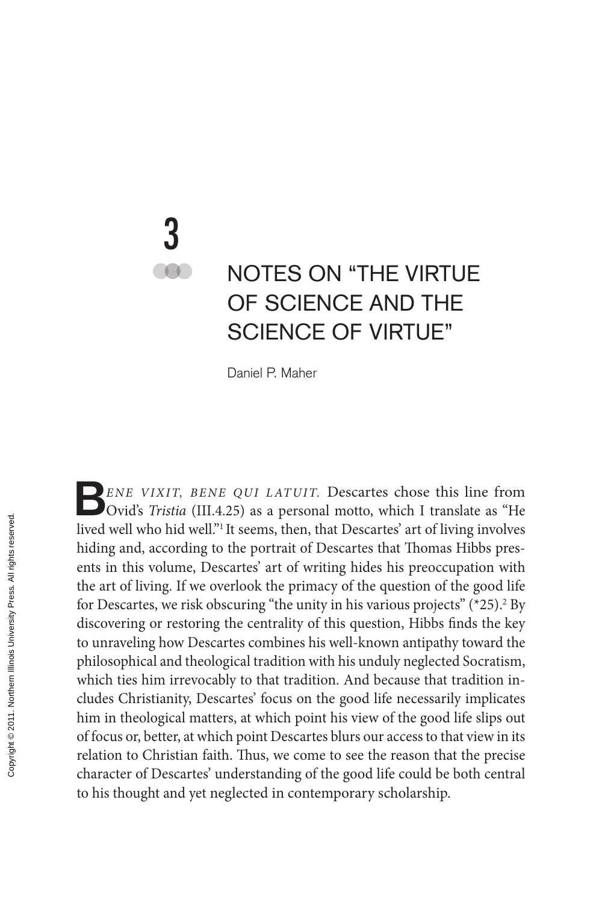## 3 notes on "tHe Virtue of sCienCe anD tHe SCIENCE OF VIRTUE"

Daniel P. Maher

**B***ENE VIXIT, BENE QUI LATUIT.* Descartes chose this line from Ovid's *Tristia* (III.4.25) as a personal motto, which I translate as "He lived well who hid well."1 It seems, then, that Descartes' art of living involves hiding and, according to the portrait of Descartes that Thomas Hibbs presents in this volume, Descartes' art of writing hides his preoccupation with the art of living. If we overlook the primacy of the question of the good life for Descartes, we risk obscuring "the unity in his various projects"  $(*25).<sup>2</sup>$  By discovering or restoring the centrality of this question, Hibbs finds the key to unraveling how Descartes combines his well-known antipathy toward the philosophical and theological tradition with his unduly neglected Socratism, which ties him irrevocably to that tradition. And because that tradition includes Christianity, Descartes' focus on the good life necessarily implicates him in theological matters, at which point his view of the good life slips out of focus or, better, at which point Descartes blurs our access to that view in its relation to Christian faith. Thus, we come to see the reason that the precise character of Descartes' understanding of the good life could be both central to his thought and yet neglected in contemporary scholarship.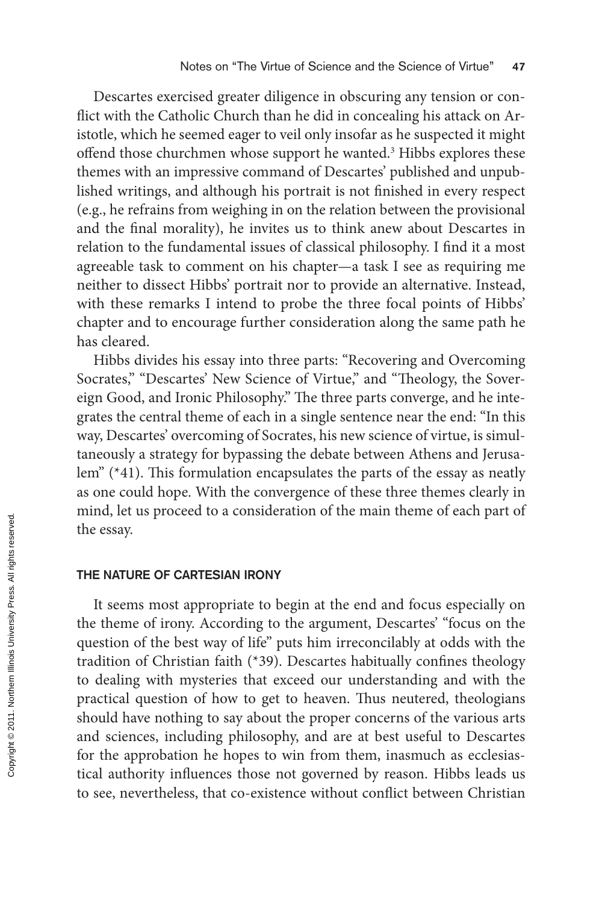Descartes exercised greater diligence in obscuring any tension or conflict with the Catholic Church than he did in concealing his attack on Aristotle, which he seemed eager to veil only insofar as he suspected it might offend those churchmen whose support he wanted.<sup>3</sup> Hibbs explores these themes with an impressive command of Descartes' published and unpublished writings, and although his portrait is not finished in every respect (e.g., he refrains from weighing in on the relation between the provisional and the final morality), he invites us to think anew about Descartes in relation to the fundamental issues of classical philosophy. I find it a most agreeable task to comment on his chapter—a task I see as requiring me neither to dissect Hibbs' portrait nor to provide an alternative. Instead, with these remarks I intend to probe the three focal points of Hibbs' chapter and to encourage further consideration along the same path he has cleared.

Hibbs divides his essay into three parts: "Recovering and Overcoming Socrates," "Descartes' New Science of Virtue," and "Theology, the Sovereign Good, and Ironic Philosophy." The three parts converge, and he integrates the central theme of each in a single sentence near the end: "In this way, Descartes' overcoming of Socrates, his new science of virtue, is simultaneously a strategy for bypassing the debate between Athens and Jerusalem" (\*41). This formulation encapsulates the parts of the essay as neatly as one could hope. With the convergence of these three themes clearly in mind, let us proceed to a consideration of the main theme of each part of the essay.

#### **The Nature of Cartesian Irony**

It seems most appropriate to begin at the end and focus especially on the theme of irony. According to the argument, Descartes' "focus on the question of the best way of life" puts him irreconcilably at odds with the tradition of Christian faith (\*39). Descartes habitually confines theology to dealing with mysteries that exceed our understanding and with the practical question of how to get to heaven. Thus neutered, theologians should have nothing to say about the proper concerns of the various arts and sciences, including philosophy, and are at best useful to Descartes for the approbation he hopes to win from them, inasmuch as ecclesiastical authority influences those not governed by reason. Hibbs leads us to see, nevertheless, that co-existence without conflict between Christian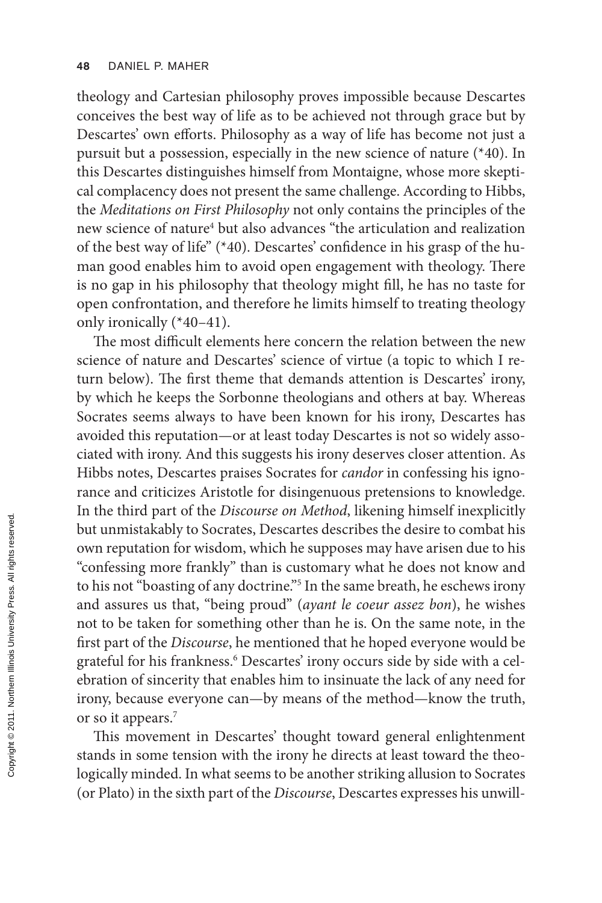theology and Cartesian philosophy proves impossible because Descartes conceives the best way of life as to be achieved not through grace but by Descartes' own efforts. Philosophy as a way of life has become not just a pursuit but a possession, especially in the new science of nature (\*40). In this Descartes distinguishes himself from Montaigne, whose more skeptical complacency does not present the same challenge. According to Hibbs, the *Meditations on First Philosophy* not only contains the principles of the new science of nature<sup>4</sup> but also advances "the articulation and realization of the best way of life" (\*40). Descartes' confidence in his grasp of the human good enables him to avoid open engagement with theology. There is no gap in his philosophy that theology might fill, he has no taste for open confrontation, and therefore he limits himself to treating theology only ironically (\*40–41).

The most difficult elements here concern the relation between the new science of nature and Descartes' science of virtue (a topic to which I return below). The first theme that demands attention is Descartes' irony, by which he keeps the Sorbonne theologians and others at bay. Whereas Socrates seems always to have been known for his irony, Descartes has avoided this reputation—or at least today Descartes is not so widely associated with irony. And this suggests his irony deserves closer attention. As Hibbs notes, Descartes praises Socrates for *candor* in confessing his ignorance and criticizes Aristotle for disingenuous pretensions to knowledge. In the third part of the *Discourse on Method*, likening himself inexplicitly but unmistakably to Socrates, Descartes describes the desire to combat his own reputation for wisdom, which he supposes may have arisen due to his "confessing more frankly" than is customary what he does not know and to his not "boasting of any doctrine."<sup>5</sup> In the same breath, he eschews irony and assures us that, "being proud" (*ayant le coeur assez bon*), he wishes not to be taken for something other than he is. On the same note, in the first part of the *Discourse*, he mentioned that he hoped everyone would be grateful for his frankness.<sup>6</sup> Descartes' irony occurs side by side with a celebration of sincerity that enables him to insinuate the lack of any need for irony, because everyone can—by means of the method—know the truth, or so it appears.<sup>7</sup>

This movement in Descartes' thought toward general enlightenment stands in some tension with the irony he directs at least toward the theologically minded. In what seems to be another striking allusion to Socrates (or Plato) in the sixth part of the *Discourse*, Descartes expresses his unwill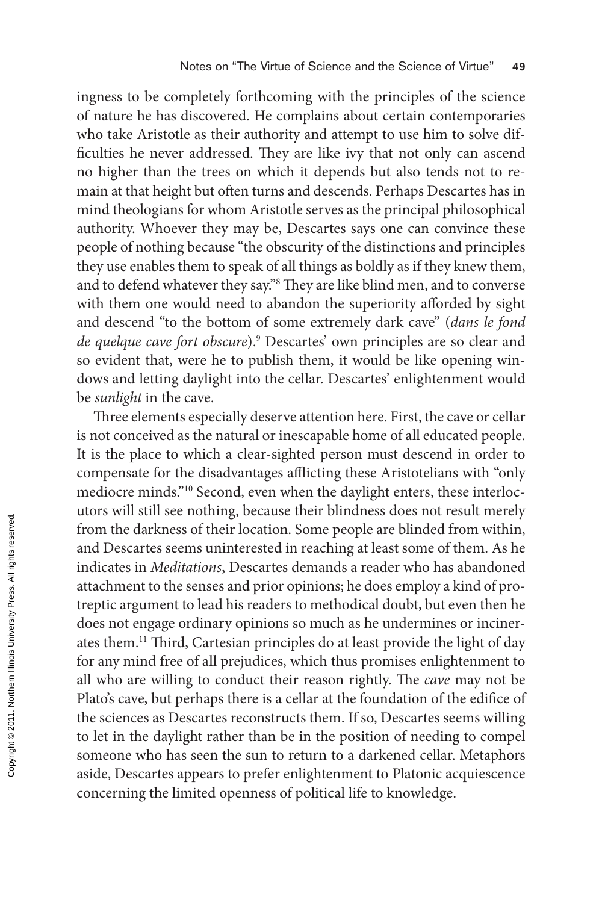ingness to be completely forthcoming with the principles of the science of nature he has discovered. He complains about certain contemporaries who take Aristotle as their authority and attempt to use him to solve difficulties he never addressed. They are like ivy that not only can ascend no higher than the trees on which it depends but also tends not to remain at that height but often turns and descends. Perhaps Descartes has in mind theologians for whom Aristotle serves as the principal philosophical authority. Whoever they may be, Descartes says one can convince these people of nothing because "the obscurity of the distinctions and principles they use enables them to speak of all things as boldly as if they knew them, and to defend whatever they say."8 They are like blind men, and to converse with them one would need to abandon the superiority afforded by sight and descend "to the bottom of some extremely dark cave" (*dans le fond*  de quelque cave fort obscure).<sup>9</sup> Descartes' own principles are so clear and so evident that, were he to publish them, it would be like opening windows and letting daylight into the cellar. Descartes' enlightenment would be *sunlight* in the cave.

Three elements especially deserve attention here. First, the cave or cellar is not conceived as the natural or inescapable home of all educated people. It is the place to which a clear-sighted person must descend in order to compensate for the disadvantages afflicting these Aristotelians with "only mediocre minds."10 Second, even when the daylight enters, these interlocutors will still see nothing, because their blindness does not result merely from the darkness of their location. Some people are blinded from within, and Descartes seems uninterested in reaching at least some of them. As he indicates in *Meditations*, Descartes demands a reader who has abandoned attachment to the senses and prior opinions; he does employ a kind of protreptic argument to lead his readers to methodical doubt, but even then he does not engage ordinary opinions so much as he undermines or incinerates them.11 Third, Cartesian principles do at least provide the light of day for any mind free of all prejudices, which thus promises enlightenment to all who are willing to conduct their reason rightly. The *cave* may not be Plato's cave, but perhaps there is a cellar at the foundation of the edifice of the sciences as Descartes reconstructs them. If so, Descartes seems willing to let in the daylight rather than be in the position of needing to compel someone who has seen the sun to return to a darkened cellar. Metaphors aside, Descartes appears to prefer enlightenment to Platonic acquiescence concerning the limited openness of political life to knowledge.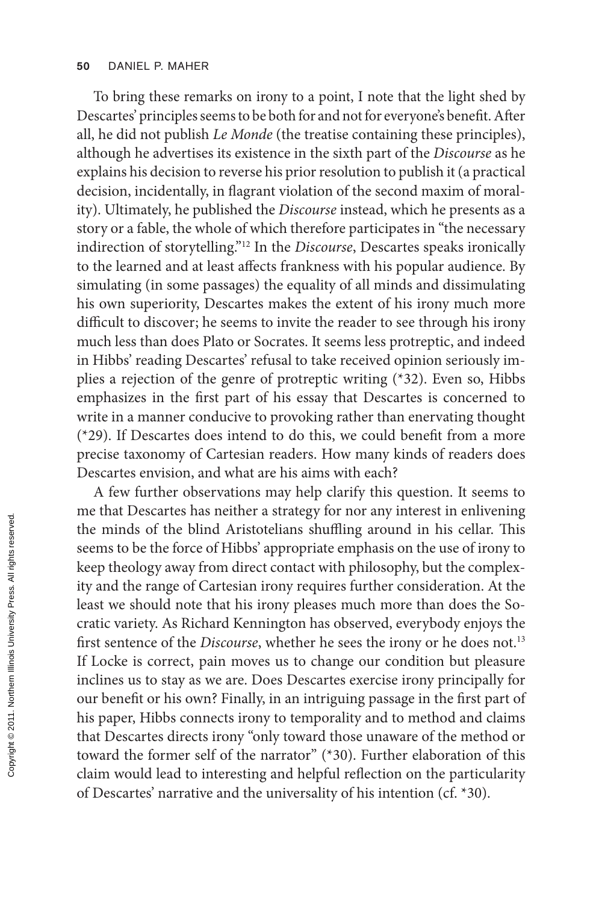To bring these remarks on irony to a point, I note that the light shed by Descartes' principles seems to be both for and not for everyone's benefit. After all, he did not publish *Le Monde* (the treatise containing these principles), although he advertises its existence in the sixth part of the *Discourse* as he explains his decision to reverse his prior resolution to publish it (a practical decision, incidentally, in flagrant violation of the second maxim of morality). Ultimately, he published the *Discourse* instead, which he presents as a story or a fable, the whole of which therefore participates in "the necessary indirection of storytelling."12 In the *Discourse*, Descartes speaks ironically to the learned and at least affects frankness with his popular audience. By simulating (in some passages) the equality of all minds and dissimulating his own superiority, Descartes makes the extent of his irony much more difficult to discover; he seems to invite the reader to see through his irony much less than does Plato or Socrates. It seems less protreptic, and indeed in Hibbs' reading Descartes' refusal to take received opinion seriously implies a rejection of the genre of protreptic writing (\*32). Even so, Hibbs emphasizes in the first part of his essay that Descartes is concerned to write in a manner conducive to provoking rather than enervating thought (\*29). If Descartes does intend to do this, we could benefit from a more precise taxonomy of Cartesian readers. How many kinds of readers does Descartes envision, and what are his aims with each?

A few further observations may help clarify this question. It seems to me that Descartes has neither a strategy for nor any interest in enlivening the minds of the blind Aristotelians shuffling around in his cellar. This seems to be the force of Hibbs' appropriate emphasis on the use of irony to keep theology away from direct contact with philosophy, but the complexity and the range of Cartesian irony requires further consideration. At the least we should note that his irony pleases much more than does the Socratic variety. As Richard Kennington has observed, everybody enjoys the first sentence of the *Discourse*, whether he sees the irony or he does not.<sup>13</sup> If Locke is correct, pain moves us to change our condition but pleasure inclines us to stay as we are. Does Descartes exercise irony principally for our benefit or his own? Finally, in an intriguing passage in the first part of his paper, Hibbs connects irony to temporality and to method and claims that Descartes directs irony "only toward those unaware of the method or toward the former self of the narrator" (\*30). Further elaboration of this claim would lead to interesting and helpful reflection on the particularity of Descartes' narrative and the universality of his intention (cf. \*30).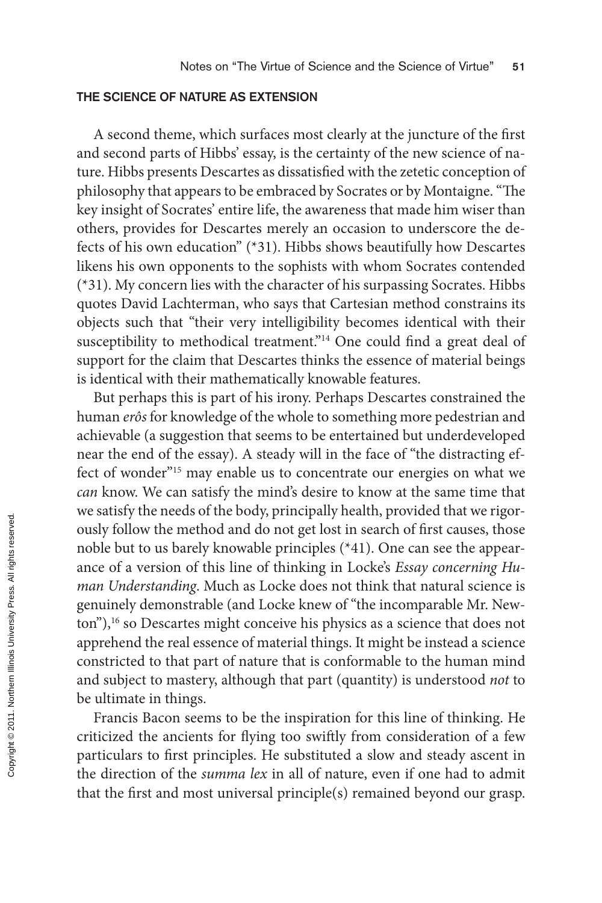#### **The Science of Nature as Extension**

A second theme, which surfaces most clearly at the juncture of the first and second parts of Hibbs' essay, is the certainty of the new science of nature. Hibbs presents Descartes as dissatisfied with the zetetic conception of philosophy that appears to be embraced by Socrates or by Montaigne. "The key insight of Socrates' entire life, the awareness that made him wiser than others, provides for Descartes merely an occasion to underscore the defects of his own education" (\*31). Hibbs shows beautifully how Descartes likens his own opponents to the sophists with whom Socrates contended (\*31). My concern lies with the character of his surpassing Socrates. Hibbs quotes David Lachterman, who says that Cartesian method constrains its objects such that "their very intelligibility becomes identical with their susceptibility to methodical treatment."<sup>14</sup> One could find a great deal of support for the claim that Descartes thinks the essence of material beings is identical with their mathematically knowable features.

But perhaps this is part of his irony. Perhaps Descartes constrained the human *erôs* for knowledge of the whole to something more pedestrian and achievable (a suggestion that seems to be entertained but underdeveloped near the end of the essay). A steady will in the face of "the distracting effect of wonder"15 may enable us to concentrate our energies on what we *can* know. We can satisfy the mind's desire to know at the same time that we satisfy the needs of the body, principally health, provided that we rigorously follow the method and do not get lost in search of first causes, those noble but to us barely knowable principles (\*41). One can see the appearance of a version of this line of thinking in Locke's *Essay concerning Human Understanding*. Much as Locke does not think that natural science is genuinely demonstrable (and Locke knew of "the incomparable Mr. Newton"),<sup>16</sup> so Descartes might conceive his physics as a science that does not apprehend the real essence of material things. It might be instead a science constricted to that part of nature that is conformable to the human mind and subject to mastery, although that part (quantity) is understood *not* to be ultimate in things.

Francis Bacon seems to be the inspiration for this line of thinking. He criticized the ancients for flying too swiftly from consideration of a few particulars to first principles. He substituted a slow and steady ascent in the direction of the *summa lex* in all of nature, even if one had to admit that the first and most universal principle(s) remained beyond our grasp.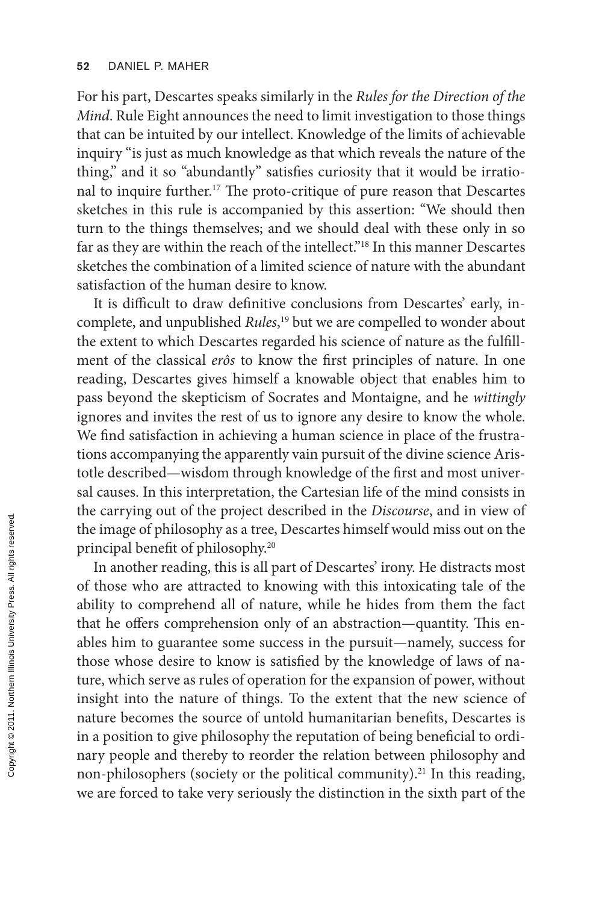For his part, Descartes speaks similarly in the *Rules for the Direction of the Mind*. Rule Eight announces the need to limit investigation to those things that can be intuited by our intellect. Knowledge of the limits of achievable inquiry "is just as much knowledge as that which reveals the nature of the thing," and it so "abundantly" satisfies curiosity that it would be irrational to inquire further.17 The proto-critique of pure reason that Descartes sketches in this rule is accompanied by this assertion: "We should then turn to the things themselves; and we should deal with these only in so far as they are within the reach of the intellect."<sup>18</sup> In this manner Descartes sketches the combination of a limited science of nature with the abundant satisfaction of the human desire to know.

It is difficult to draw definitive conclusions from Descartes' early, incomplete, and unpublished *Rules*, 19 but we are compelled to wonder about the extent to which Descartes regarded his science of nature as the fulfillment of the classical *erôs* to know the first principles of nature. In one reading, Descartes gives himself a knowable object that enables him to pass beyond the skepticism of Socrates and Montaigne, and he *wittingly* ignores and invites the rest of us to ignore any desire to know the whole. We find satisfaction in achieving a human science in place of the frustrations accompanying the apparently vain pursuit of the divine science Aristotle described—wisdom through knowledge of the first and most universal causes. In this interpretation, the Cartesian life of the mind consists in the carrying out of the project described in the *Discourse*, and in view of the image of philosophy as a tree, Descartes himself would miss out on the principal benefit of philosophy.20

In another reading, this is all part of Descartes' irony. He distracts most of those who are attracted to knowing with this intoxicating tale of the ability to comprehend all of nature, while he hides from them the fact that he offers comprehension only of an abstraction—quantity. This enables him to guarantee some success in the pursuit—namely, success for those whose desire to know is satisfied by the knowledge of laws of nature, which serve as rules of operation for the expansion of power, without insight into the nature of things. To the extent that the new science of nature becomes the source of untold humanitarian benefits, Descartes is in a position to give philosophy the reputation of being beneficial to ordinary people and thereby to reorder the relation between philosophy and non-philosophers (society or the political community).<sup>21</sup> In this reading, we are forced to take very seriously the distinction in the sixth part of the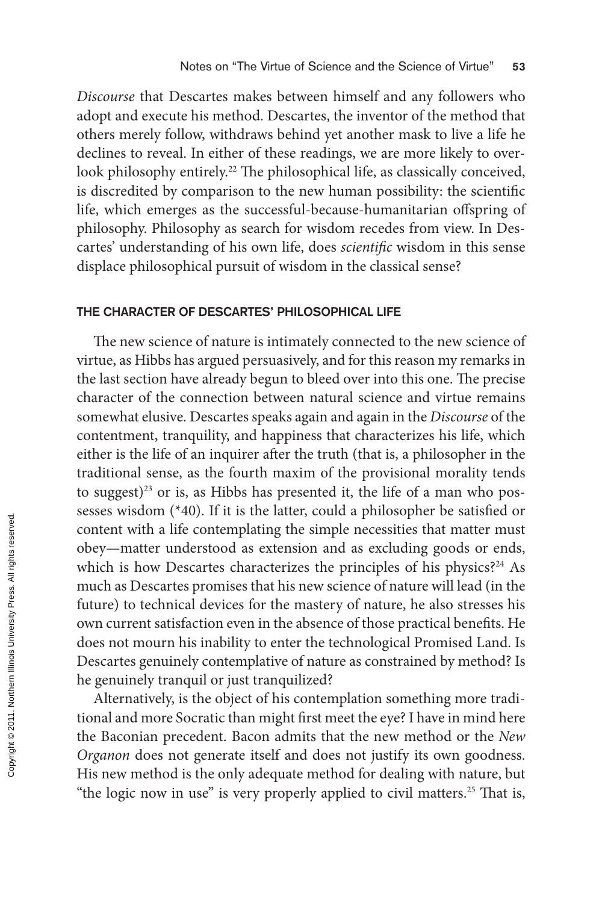*Discourse* that Descartes makes between himself and any followers who adopt and execute his method. Descartes, the inventor of the method that others merely follow, withdraws behind yet another mask to live a life he declines to reveal. In either of these readings, we are more likely to overlook philosophy entirely.<sup>22</sup> The philosophical life, as classically conceived, is discredited by comparison to the new human possibility: the scientific life, which emerges as the successful-because-humanitarian offspring of philosophy. Philosophy as search for wisdom recedes from view. In Descartes' understanding of his own life, does *scientific* wisdom in this sense displace philosophical pursuit of wisdom in the classical sense?

#### **The Character of Descartes' Philosophical Life**

The new science of nature is intimately connected to the new science of virtue, as Hibbs has argued persuasively, and for this reason my remarks in the last section have already begun to bleed over into this one. The precise character of the connection between natural science and virtue remains somewhat elusive. Descartes speaks again and again in the *Discourse* of the contentment, tranquility, and happiness that characterizes his life, which either is the life of an inquirer after the truth (that is, a philosopher in the traditional sense, as the fourth maxim of the provisional morality tends to suggest)<sup>23</sup> or is, as Hibbs has presented it, the life of a man who possesses wisdom (\*40). If it is the latter, could a philosopher be satisfied or content with a life contemplating the simple necessities that matter must obey—matter understood as extension and as excluding goods or ends, which is how Descartes characterizes the principles of his physics?<sup>24</sup> As much as Descartes promises that his new science of nature will lead (in the future) to technical devices for the mastery of nature, he also stresses his own current satisfaction even in the absence of those practical benefits. He does not mourn his inability to enter the technological Promised Land. Is Descartes genuinely contemplative of nature as constrained by method? Is he genuinely tranquil or just tranquilized?

Alternatively, is the object of his contemplation something more traditional and more Socratic than might first meet the eye? I have in mind here the Baconian precedent. Bacon admits that the new method or the *New Organon* does not generate itself and does not justify its own goodness. His new method is the only adequate method for dealing with nature, but "the logic now in use" is very properly applied to civil matters.<sup>25</sup> That is,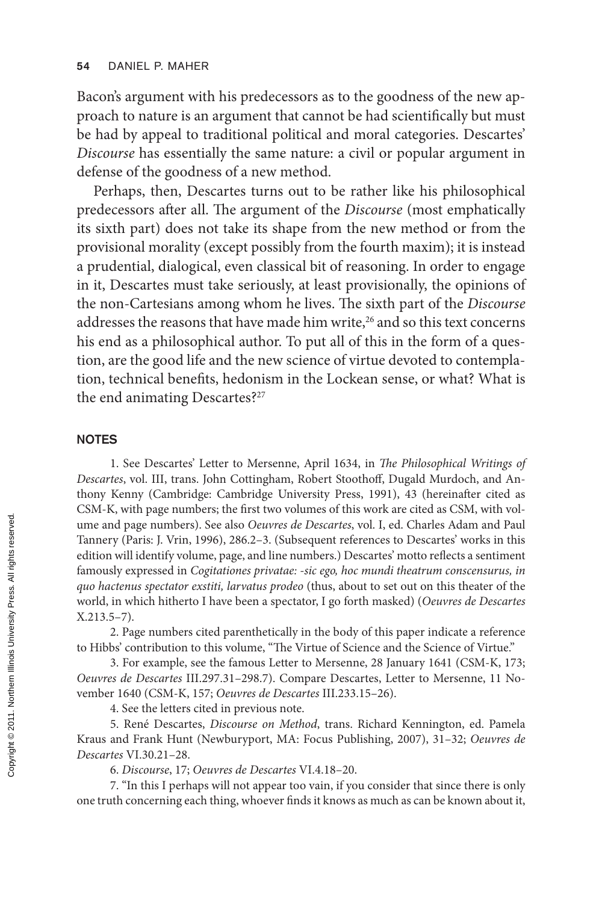Bacon's argument with his predecessors as to the goodness of the new approach to nature is an argument that cannot be had scientifically but must be had by appeal to traditional political and moral categories. Descartes' *Discourse* has essentially the same nature: a civil or popular argument in defense of the goodness of a new method.

Perhaps, then, Descartes turns out to be rather like his philosophical predecessors after all. The argument of the *Discourse* (most emphatically its sixth part) does not take its shape from the new method or from the provisional morality (except possibly from the fourth maxim); it is instead a prudential, dialogical, even classical bit of reasoning. In order to engage in it, Descartes must take seriously, at least provisionally, the opinions of the non-Cartesians among whom he lives. The sixth part of the *Discourse* addresses the reasons that have made him write,<sup>26</sup> and so this text concerns his end as a philosophical author. To put all of this in the form of a question, are the good life and the new science of virtue devoted to contemplation, technical benefits, hedonism in the Lockean sense, or what? What is the end animating Descartes?<sup>27</sup>

#### **Notes**

1. See Descartes' Letter to Mersenne, April 1634, in *The Philosophical Writings of Descartes*, vol. III, trans. John Cottingham, Robert Stoothoff, Dugald Murdoch, and Anthony Kenny (Cambridge: Cambridge University Press, 1991), 43 (hereinafter cited as CSM-K, with page numbers; the first two volumes of this work are cited as CSM, with volume and page numbers). See also *Oeuvres de Descartes*, vol. I, ed. Charles Adam and Paul Tannery (Paris: J. Vrin, 1996), 286.2–3. (Subsequent references to Descartes' works in this edition will identify volume, page, and line numbers.) Descartes' motto reflects a sentiment famously expressed in *Cogitationes privatae: -sic ego, hoc mundi theatrum conscensurus, in quo hactenus spectator exstiti, larvatus prodeo* (thus, about to set out on this theater of the world, in which hitherto I have been a spectator, I go forth masked) (*Oeuvres de Descartes* X.213.5–7).

2. Page numbers cited parenthetically in the body of this paper indicate a reference to Hibbs' contribution to this volume, "The Virtue of Science and the Science of Virtue."

3. For example, see the famous Letter to Mersenne, 28 January 1641 (CSM-K, 173; *Oeuvres de Descartes* III.297.31–298.7). Compare Descartes, Letter to Mersenne, 11 November 1640 (CSM-K, 157; *Oeuvres de Descartes* III.233.15–26).

4. See the letters cited in previous note.

5. René Descartes, *Discourse on Method*, trans. Richard Kennington, ed. Pamela Kraus and Frank Hunt (Newburyport, MA: Focus Publishing, 2007), 31–32; *Oeuvres de Descartes* VI.30.21–28.

6. *Discourse*, 17; *Oeuvres de Descartes* VI.4.18–20.

7. "In this I perhaps will not appear too vain, if you consider that since there is only one truth concerning each thing, whoever finds it knows as much as can be known about it,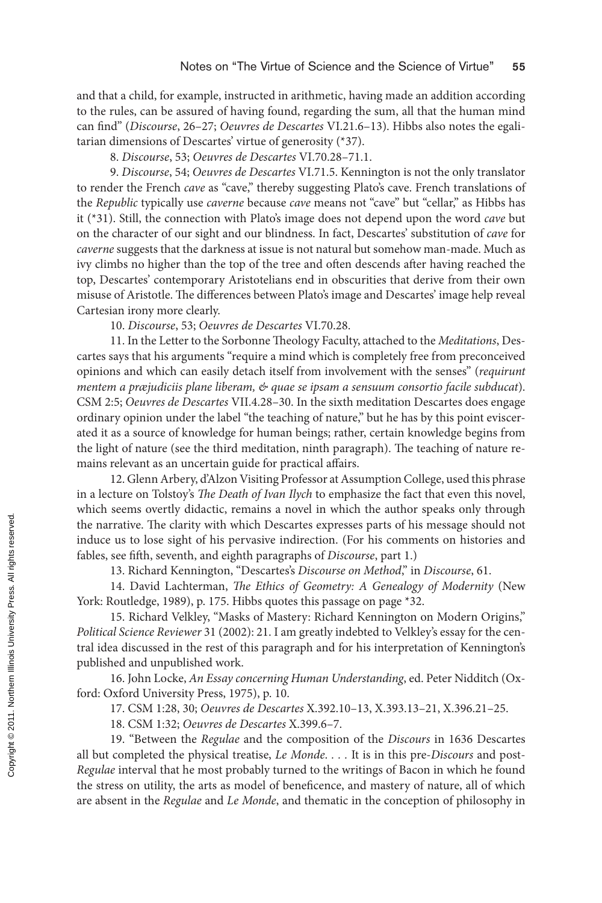and that a child, for example, instructed in arithmetic, having made an addition according to the rules, can be assured of having found, regarding the sum, all that the human mind can find" (*Discourse*, 26–27; *Oeuvres de Descartes* VI.21.6–13). Hibbs also notes the egalitarian dimensions of Descartes' virtue of generosity (\*37).

8. *Discourse*, 53; *Oeuvres de Descartes* VI.70.28–71.1.

9. *Discourse*, 54; *Oeuvres de Descartes* VI.71.5. Kennington is not the only translator to render the French *cave* as "cave," thereby suggesting Plato's cave. French translations of the *Republic* typically use *caverne* because *cave* means not "cave" but "cellar," as Hibbs has it (\*31). Still, the connection with Plato's image does not depend upon the word *cave* but on the character of our sight and our blindness. In fact, Descartes' substitution of *cave* for *caverne* suggests that the darkness at issue is not natural but somehow man-made. Much as ivy climbs no higher than the top of the tree and often descends after having reached the top, Descartes' contemporary Aristotelians end in obscurities that derive from their own misuse of Aristotle. The differences between Plato's image and Descartes' image help reveal Cartesian irony more clearly.

10. *Discourse*, 53; *Oeuvres de Descartes* VI.70.28.

11. In the Letter to the Sorbonne Theology Faculty, attached to the *Meditations*, Descartes says that his arguments "require a mind which is completely free from preconceived opinions and which can easily detach itself from involvement with the senses" (*requirunt mentem a præjudiciis plane liberam, & quae se ipsam a sensuum consortio facile subducat*). CSM 2:5; *Oeuvres de Descartes* VII.4.28–30. In the sixth meditation Descartes does engage ordinary opinion under the label "the teaching of nature," but he has by this point eviscerated it as a source of knowledge for human beings; rather, certain knowledge begins from the light of nature (see the third meditation, ninth paragraph). The teaching of nature remains relevant as an uncertain guide for practical affairs.

12. Glenn Arbery, d'Alzon Visiting Professor at Assumption College, used this phrase in a lecture on Tolstoy's *The Death of Ivan Ilych* to emphasize the fact that even this novel, which seems overtly didactic, remains a novel in which the author speaks only through the narrative. The clarity with which Descartes expresses parts of his message should not induce us to lose sight of his pervasive indirection. (For his comments on histories and fables, see fifth, seventh, and eighth paragraphs of *Discourse*, part 1.)

13. Richard Kennington, "Descartes's *Discourse on Method*," in *Discourse*, 61.

14. David Lachterman, *The Ethics of Geometry: A Genealogy of Modernity* (New York: Routledge, 1989), p. 175. Hibbs quotes this passage on page \*32.

15. Richard Velkley, "Masks of Mastery: Richard Kennington on Modern Origins," *Political Science Reviewer* 31 (2002): 21. I am greatly indebted to Velkley's essay for the central idea discussed in the rest of this paragraph and for his interpretation of Kennington's published and unpublished work.

16. John Locke, *An Essay concerning Human Understanding*, ed. Peter Nidditch (Oxford: Oxford University Press, 1975), p. 10.

17. CSM 1:28, 30; *Oeuvres de Descartes* X.392.10–13, X.393.13–21, X.396.21–25.

18. CSM 1:32; *Oeuvres de Descartes* X.399.6–7.

19. "Between the *Regulae* and the composition of the *Discours* in 1636 Descartes all but completed the physical treatise, *Le Monde*. *. . .* It is in this pre-*Discours* and post-*Regulae* interval that he most probably turned to the writings of Bacon in which he found the stress on utility, the arts as model of beneficence, and mastery of nature, all of which are absent in the *Regulae* and *Le Monde*, and thematic in the conception of philosophy in